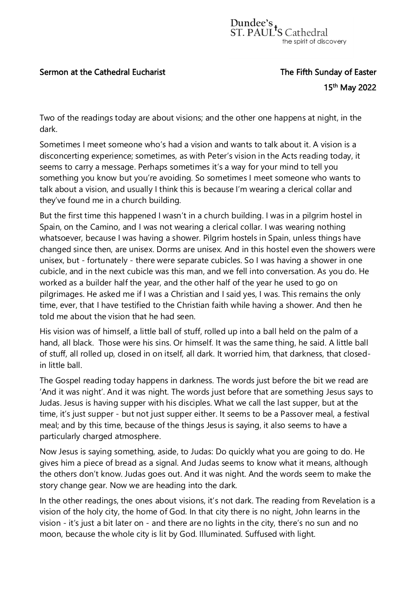## Sermon at the Cathedral Eucharist The Fifth Sunday of Easter

## $15^{\rm th}$  and  $15^{\rm th}$ 15<sup>th</sup> May 2022

Two of the readings today are about visions; and the other one happens at night, in the dark.

Sometimes I meet someone who's had a vision and wants to talk about it. A vision is a disconcerting experience; sometimes, as with Peter's vision in the Acts reading today, it seems to carry a message. Perhaps sometimes it's a way for your mind to tell you something you know but you're avoiding. So sometimes I meet someone who wants to talk about a vision, and usually I think this is because I'm wearing a clerical collar and they've found me in a church building.

But the first time this happened I wasn't in a church building. I was in a pilgrim hostel in Spain, on the Camino, and I was not wearing a clerical collar. I was wearing nothing whatsoever, because I was having a shower. Pilgrim hostels in Spain, unless things have changed since then, are unisex. Dorms are unisex. And in this hostel even the showers were unisex, but - fortunately - there were separate cubicles. So I was having a shower in one cubicle, and in the next cubicle was this man, and we fell into conversation. As you do. He worked as a builder half the year, and the other half of the year he used to go on pilgrimages. He asked me if I was a Christian and I said yes, I was. This remains the only time, ever, that I have testified to the Christian faith while having a shower. And then he told me about the vision that he had seen.

His vision was of himself, a little ball of stuff, rolled up into a ball held on the palm of a hand, all black. Those were his sins. Or himself. It was the same thing, he said. A little ball of stuff, all rolled up, closed in on itself, all dark. It worried him, that darkness, that closedin little ball.

The Gospel reading today happens in darkness. The words just before the bit we read are 'And it was night'. And it was night. The words just before that are something Jesus says to Judas. Jesus is having supper with his disciples. What we call the last supper, but at the time, it's just supper - but not just supper either. It seems to be a Passover meal, a festival meal; and by this time, because of the things Jesus is saying, it also seems to have a particularly charged atmosphere.

Now Jesus is saying something, aside, to Judas: Do quickly what you are going to do. He gives him a piece of bread as a signal. And Judas seems to know what it means, although the others don't know. Judas goes out. And it was night. And the words seem to make the story change gear. Now we are heading into the dark.

In the other readings, the ones about visions, it's not dark. The reading from Revelation is a vision of the holy city, the home of God. In that city there is no night, John learns in the vision - it's just a bit later on - and there are no lights in the city, there's no sun and no moon, because the whole city is lit by God. Illuminated. Suffused with light.